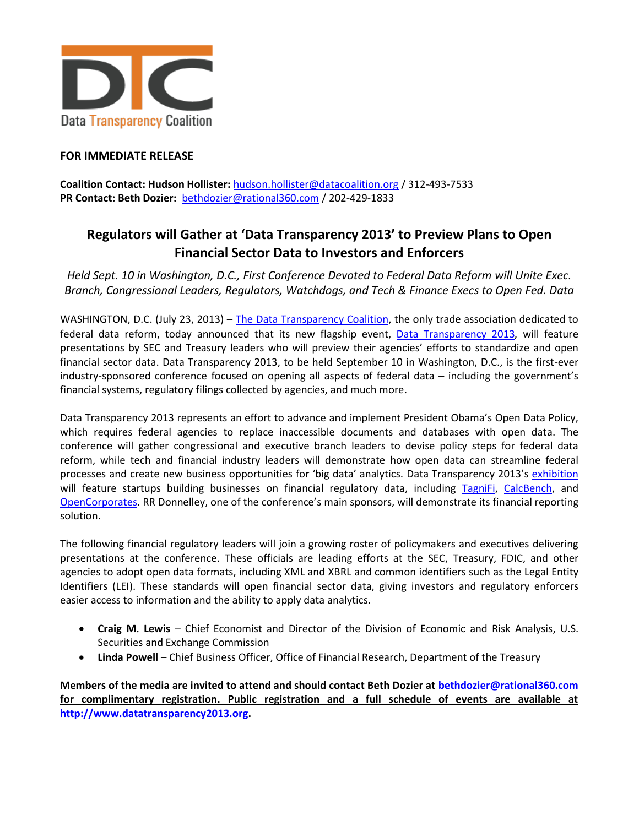

## **FOR IMMEDIATE RELEASE**

**Coalition Contact: Hudson Hollister:** [hudson.hollister@datacoalition.org](mailto:hudson.hollister@datacoalition.org) / 312-493-7533 **PR Contact: Beth Dozier:** [bethdozier@rational360.com](mailto:bethdozier@rational360.com) / 202-429-1833

## **Regulators will Gather at 'Data Transparency 2013' to Preview Plans to Open Financial Sector Data to Investors and Enforcers**

*Held Sept. 10 in Washington, D.C., First Conference Devoted to Federal Data Reform will Unite Exec. Branch, Congressional Leaders, Regulators, Watchdogs, and Tech & Finance Execs to Open Fed. Data*

WASHINGTON, D.C. (July 23, 2013) – The [Data Transparency Coalition,](http://www.datacoalition.org/) the only trade association dedicated to federal data reform, today announced that its new flagship event, [Data Transparency 2013](http://www.datatransparency2013.com/), will feature presentations by SEC and Treasury leaders who will preview their agencies' efforts to standardize and open financial sector data. Data Transparency 2013, to be held September 10 in Washington, D.C., is the first-ever industry-sponsored conference focused on opening all aspects of federal data – including the government's financial systems, regulatory filings collected by agencies, and much more.

Data Transparency 2013 represents an effort to advance and implement President Obama's Open Data Policy, which requires federal agencies to replace inaccessible documents and databases with open data. The conference will gather congressional and executive branch leaders to devise policy steps for federal data reform, while tech and financial industry leaders will demonstrate how open data can streamline federal processes and create new business opportunities for 'big data' analytics. Data Transparency 2013's [exhibition](http://www.datatransparency2013.com/index.php/exhibition) will feature startups building businesses on financial regulatory data, including [TagniFi,](http://www.tagnifi.com/) [CalcBench,](http://www.calcbench.com/) and [OpenCorporates.](http://opencorporates.com/) RR Donnelley, one of the conference's main sponsors, will demonstrate its financial reporting solution.

The following financial regulatory leaders will join a growing roster of policymakers and executives delivering presentations at the conference. These officials are leading efforts at the SEC, Treasury, FDIC, and other agencies to adopt open data formats, including XML and XBRL and common identifiers such as the Legal Entity Identifiers (LEI). These standards will open financial sector data, giving investors and regulatory enforcers easier access to information and the ability to apply data analytics.

- **Craig M. Lewis** Chief Economist and Director of the Division of Economic and Risk Analysis, U.S. Securities and Exchange Commission
- **Linda Powell** Chief Business Officer, Office of Financial Research, Department of the Treasury

**Members of the media are invited to attend and should contact Beth Dozier at [bethdozier@rational360.com](mailto:bethdozier@rational360.com) for complimentary registration. Public registration and a full schedule of events are available at [http://www.datatransparency2013.org.](http://www.datatransparency2013.org/)**